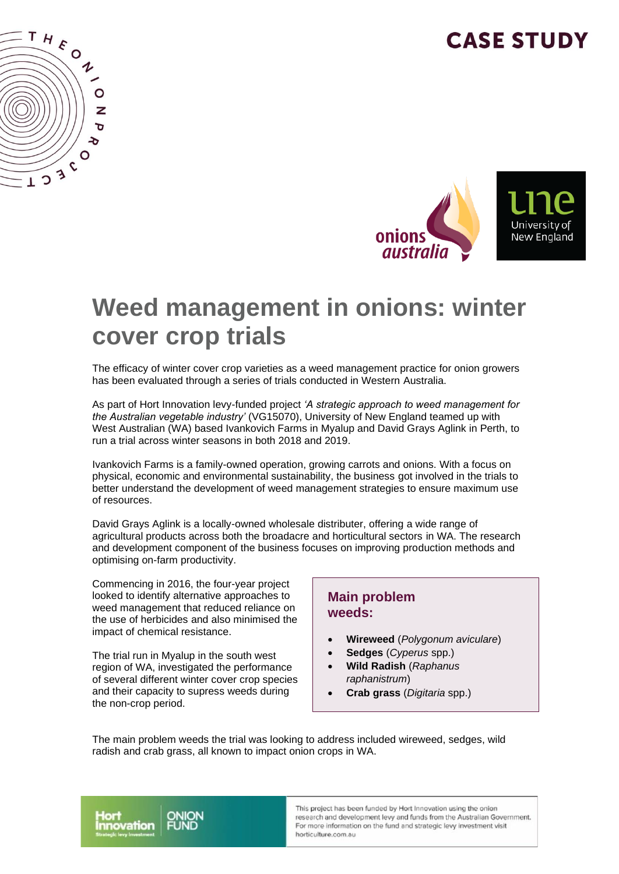## **CASE STUDY**





# **Weed management in onions: winter cover crop trials**

The efficacy of winter cover crop varieties as a weed management practice for onion growers has been evaluated through a series of trials conducted in Western Australia.

As part of Hort Innovation levy-funded project *'A strategic approach to weed management for the Australian vegetable industry'* (VG15070), University of New England teamed up with West Australian (WA) based Ivankovich Farms in Myalup and David Grays Aglink in Perth, to run a trial across winter seasons in both 2018 and 2019.

Ivankovich Farms is a family-owned operation, growing carrots and onions. With a focus on physical, economic and environmental sustainability, the business got involved in the trials to better understand the development of weed management strategies to ensure maximum use of resources.

David Grays Aglink is a locally-owned wholesale distributer, offering a wide range of agricultural products across both the broadacre and horticultural sectors in WA. The research and development component of the business focuses on improving production methods and optimising on-farm productivity.

Commencing in 2016, the four-year project looked to identify alternative approaches to weed management that reduced reliance on the use of herbicides and also minimised the impact of chemical resistance.

The trial run in Myalup in the south west region of WA, investigated the performance of several different winter cover crop species and their capacity to supress weeds during the non-crop period.

#### **Main problem weeds:**

- **Wireweed** (*Polygonum aviculare*)
- **Sedges** (*Cyperus* spp.)
- **Wild Radish** (*Raphanus raphanistrum*)
- **Crab grass** (*Digitaria* spp.)

The main problem weeds the trial was looking to address included wireweed, sedges, wild radish and crab grass, all known to impact onion crops in WA.



This project has been funded by Hort Innovation using the onion research and development levy and funds from the Australian Government. For more information on the fund and strategic levy investment visit horticulture.com.au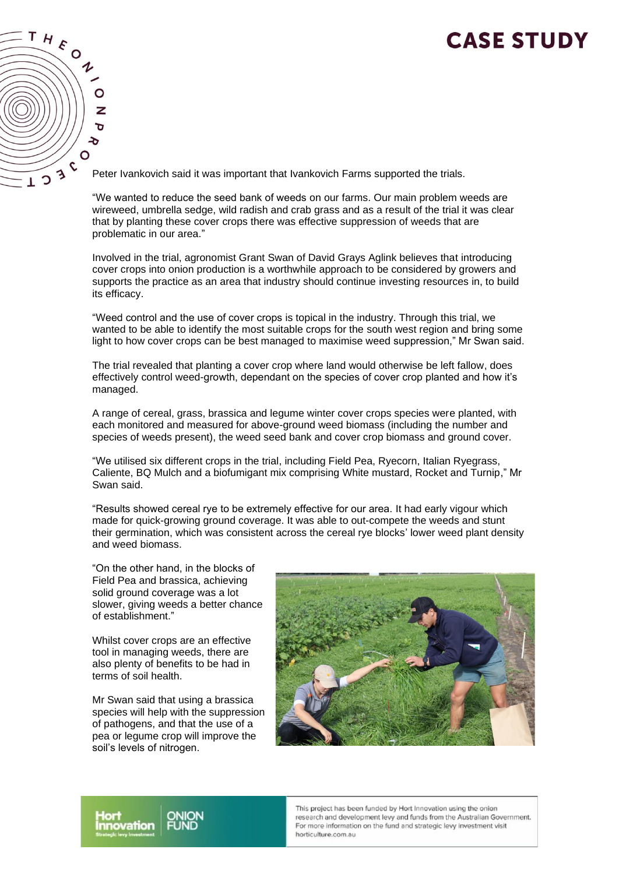### **CASE STUDY**



Peter Ivankovich said it was important that Ivankovich Farms supported the trials.

"We wanted to reduce the seed bank of weeds on our farms. Our main problem weeds are wireweed, umbrella sedge, wild radish and crab grass and as a result of the trial it was clear that by planting these cover crops there was effective suppression of weeds that are problematic in our area."

Involved in the trial, agronomist Grant Swan of David Grays Aglink believes that introducing cover crops into onion production is a worthwhile approach to be considered by growers and supports the practice as an area that industry should continue investing resources in, to build its efficacy.

"Weed control and the use of cover crops is topical in the industry. Through this trial, we wanted to be able to identify the most suitable crops for the south west region and bring some light to how cover crops can be best managed to maximise weed suppression," Mr Swan said.

The trial revealed that planting a cover crop where land would otherwise be left fallow, does effectively control weed-growth, dependant on the species of cover crop planted and how it's managed.

A range of cereal, grass, brassica and legume winter cover crops species were planted, with each monitored and measured for above-ground weed biomass (including the number and species of weeds present), the weed seed bank and cover crop biomass and ground cover.

"We utilised six different crops in the trial, including Field Pea, Ryecorn, Italian Ryegrass, Caliente, BQ Mulch and a biofumigant mix comprising White mustard, Rocket and Turnip," Mr Swan said.

"Results showed cereal rye to be extremely effective for our area. It had early vigour which made for quick-growing ground coverage. It was able to out-compete the weeds and stunt their germination, which was consistent across the cereal rye blocks' lower weed plant density and weed biomass.

"On the other hand, in the blocks of Field Pea and brassica, achieving solid ground coverage was a lot slower, giving weeds a better chance of establishment."

Whilst cover crops are an effective tool in managing weeds, there are also plenty of benefits to be had in terms of soil health.

Mr Swan said that using a brassica species will help with the suppression of pathogens, and that the use of a pea or legume crop will improve the soil's levels of nitrogen.





This project has been funded by Hort Innovation using the onion research and development levy and funds from the Australian Government. For more information on the fund and strategic levy investment visit horticulture.com.au